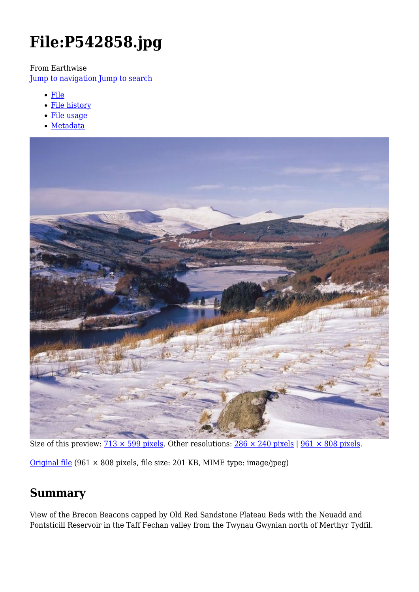# **File:P542858.jpg**

From Earthwise

[Jump to navigation](#page--1-0) [Jump to search](#page--1-0)

- [File](#page--1-0)
- [File history](#page--1-0)
- [File usage](#page--1-0)
- [Metadata](#page--1-0)



Size of this preview:  $\frac{713 \times 599 \text{ pixels}}{299 \text{ pixels}}$ . Other resolutions:  $\frac{286 \times 240 \text{ pixels}}{299 \text{ pixels}}$ 

[Original file](http://earthwise.bgs.ac.uk/images/9/99/P542858.jpg) (961 × 808 pixels, file size: 201 KB, MIME type: image/jpeg)

# **Summary**

View of the Brecon Beacons capped by Old Red Sandstone Plateau Beds with the Neuadd and Pontsticill Reservoir in the Taff Fechan valley from the Twynau Gwynian north of Merthyr Tydfil.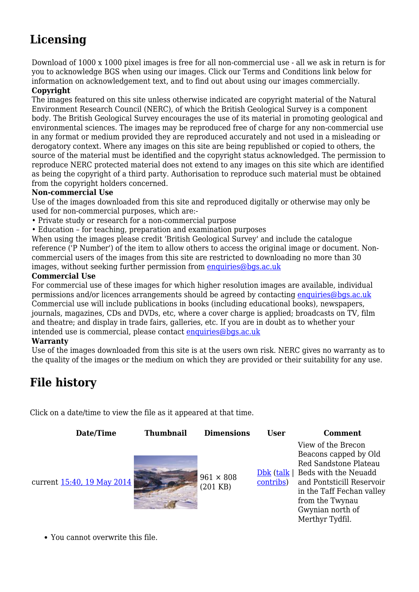# **Licensing**

Download of 1000 x 1000 pixel images is free for all non-commercial use - all we ask in return is for you to acknowledge BGS when using our images. Click our Terms and Conditions link below for information on acknowledgement text, and to find out about using our images commercially.

#### **Copyright**

The images featured on this site unless otherwise indicated are copyright material of the Natural Environment Research Council (NERC), of which the British Geological Survey is a component body. The British Geological Survey encourages the use of its material in promoting geological and environmental sciences. The images may be reproduced free of charge for any non-commercial use in any format or medium provided they are reproduced accurately and not used in a misleading or derogatory context. Where any images on this site are being republished or copied to others, the source of the material must be identified and the copyright status acknowledged. The permission to reproduce NERC protected material does not extend to any images on this site which are identified as being the copyright of a third party. Authorisation to reproduce such material must be obtained from the copyright holders concerned.

#### **Non-commercial Use**

Use of the images downloaded from this site and reproduced digitally or otherwise may only be used for non-commercial purposes, which are:-

- Private study or research for a non-commercial purpose
- Education for teaching, preparation and examination purposes

When using the images please credit 'British Geological Survey' and include the catalogue reference ('P Number') of the item to allow others to access the original image or document. Noncommercial users of the images from this site are restricted to downloading no more than 30 images, without seeking further permission from [enquiries@bgs.ac.uk](mailto:enquiries@bgs.ac.uk)

#### **Commercial Use**

For commercial use of these images for which higher resolution images are available, individual permissions and/or licences arrangements should be agreed by contacting [enquiries@bgs.ac.uk](mailto:enquiries@bgs.ac.uk) Commercial use will include publications in books (including educational books), newspapers, journals, magazines, CDs and DVDs, etc, where a cover charge is applied; broadcasts on TV, film and theatre; and display in trade fairs, galleries, etc. If you are in doubt as to whether your intended use is commercial, please contact [enquiries@bgs.ac.uk](mailto:enquiries@bgs.ac.uk)

#### **Warranty**

Use of the images downloaded from this site is at the users own risk. NERC gives no warranty as to the quality of the images or the medium on which they are provided or their suitability for any use.

# **File history**

Click on a date/time to view the file as it appeared at that time.

| Date/Time                         | <b>Thumbnail</b> | <b>Dimensions</b>              | <b>User</b> | <b>Comment</b>                                                                                                                                                                                                                  |
|-----------------------------------|------------------|--------------------------------|-------------|---------------------------------------------------------------------------------------------------------------------------------------------------------------------------------------------------------------------------------|
| current <u>15:40, 19 May 2014</u> |                  | $961 \times 808$<br>$(201$ KB) | contribs)   | View of the Brecon<br>Beacons capped by Old<br>Red Sandstone Plateau<br>$Dbk (talk   Beds with the Neuadd)$<br>and Pontsticill Reservoir<br>in the Taff Fechan valley<br>from the Twynau<br>Gwynian north of<br>Merthyr Tydfil. |

You cannot overwrite this file.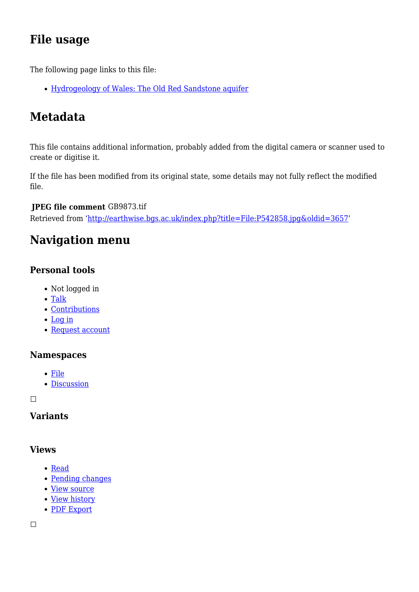# **File usage**

The following page links to this file:

[Hydrogeology of Wales: The Old Red Sandstone aquifer](http://earthwise.bgs.ac.uk/index.php/Hydrogeology_of_Wales:_The_Old_Red_Sandstone_aquifer)

# **Metadata**

This file contains additional information, probably added from the digital camera or scanner used to create or digitise it.

If the file has been modified from its original state, some details may not fully reflect the modified file.

#### **JPEG file comment** GB9873.tif

Retrieved from ['http://earthwise.bgs.ac.uk/index.php?title=File:P542858.jpg&oldid=3657](http://earthwise.bgs.ac.uk/index.php?title=File:P542858.jpg&oldid=3657)'

# **Navigation menu**

# **Personal tools**

- Not logged in
- [Talk](http://earthwise.bgs.ac.uk/index.php/Special:MyTalk)
- [Contributions](http://earthwise.bgs.ac.uk/index.php/Special:MyContributions)
- [Log in](http://earthwise.bgs.ac.uk/index.php?title=Special:UserLogin&returnto=File%3AP542858.jpg&returntoquery=action%3Dmpdf)
- [Request account](http://earthwise.bgs.ac.uk/index.php/Special:RequestAccount)

### **Namespaces**

- [File](http://earthwise.bgs.ac.uk/index.php/File:P542858.jpg)
- [Discussion](http://earthwise.bgs.ac.uk/index.php?title=File_talk:P542858.jpg&action=edit&redlink=1)

 $\overline{\phantom{a}}$ 

### **Variants**

### **Views**

- [Read](http://earthwise.bgs.ac.uk/index.php?title=File:P542858.jpg&stable=1)
- [Pending changes](http://earthwise.bgs.ac.uk/index.php?title=File:P542858.jpg&stable=0&redirect=no)
- [View source](http://earthwise.bgs.ac.uk/index.php?title=File:P542858.jpg&action=edit)
- [View history](http://earthwise.bgs.ac.uk/index.php?title=File:P542858.jpg&action=history)
- [PDF Export](http://earthwise.bgs.ac.uk/index.php?title=File:P542858.jpg&action=mpdf)

 $\Box$